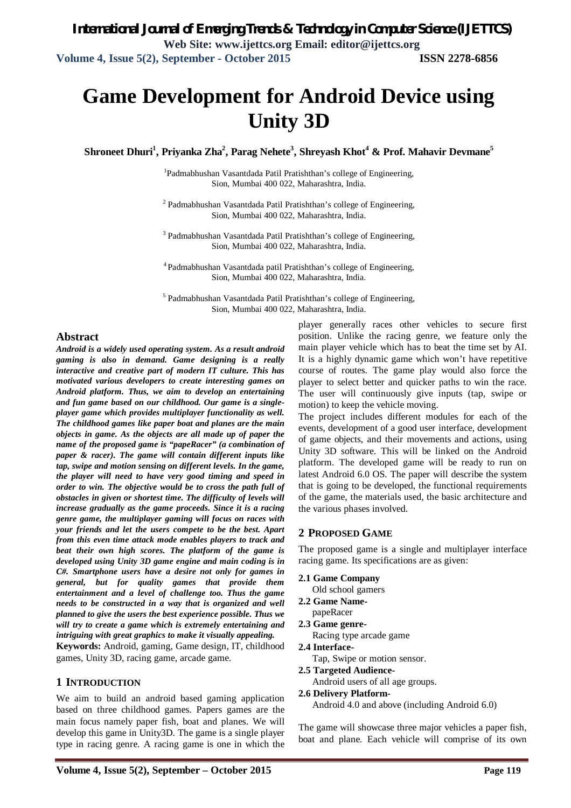# **Game Development for Android Device using Unity 3D**

**Shroneet Dhuri<sup>1</sup> , Priyanka Zha<sup>2</sup> , Parag Nehete<sup>3</sup> , Shreyash Khot<sup>4</sup> & Prof. Mahavir Devmane<sup>5</sup>**

<sup>1</sup>Padmabhushan Vasantdada Patil Pratishthan's college of Engineering, Sion, Mumbai 400 022, Maharashtra, India.

<sup>2</sup> Padmabhushan Vasantdada Patil Pratishthan's college of Engineering, Sion, Mumbai 400 022, Maharashtra, India.

<sup>3</sup> Padmabhushan Vasantdada Patil Pratishthan's college of Engineering, Sion, Mumbai 400 022, Maharashtra, India.

<sup>4</sup> Padmabhushan Vasantdada patil Pratishthan's college of Engineering, Sion, Mumbai 400 022, Maharashtra, India.

<sup>5</sup> Padmabhushan Vasantdada Patil Pratishthan's college of Engineering, Sion, Mumbai 400 022, Maharashtra, India.

# **Abstract**

*Android is a widely used operating system. As a result android gaming is also in demand. Game designing is a really interactive and creative part of modern IT culture. This has motivated various developers to create interesting games on Android platform. Thus, we aim to develop an entertaining and fun game based on our childhood. Our game is a singleplayer game which provides multiplayer functionality as well. The childhood games like paper boat and planes are the main objects in game. As the objects are all made up of paper the name of the proposed game is "papeRacer" (a combination of paper & racer). The game will contain different inputs like tap, swipe and motion sensing on different levels. In the game, the player will need to have very good timing and speed in order to win. The objective would be to cross the path full of obstacles in given or shortest time. The difficulty of levels will increase gradually as the game proceeds. Since it is a racing genre game, the multiplayer gaming will focus on races with your friends and let the users compete to be the best. Apart from this even time attack mode enables players to track and beat their own high scores. The platform of the game is developed using Unity 3D game engine and main coding is in C#. Smartphone users have a desire not only for games in general, but for quality games that provide them entertainment and a level of challenge too. Thus the game needs to be constructed in a way that is organized and well planned to give the users the best experience possible. Thus we will try to create a game which is extremely entertaining and intriguing with great graphics to make it visually appealing.*

**Keywords:** Android, gaming, Game design, IT, childhood games, Unity 3D, racing game, arcade game.

# **1 INTRODUCTION**

We aim to build an android based gaming application based on three childhood games. Papers games are the main focus namely paper fish, boat and planes. We will develop this game in Unity3D. The game is a single player type in racing genre. A racing game is one in which the

player generally races other vehicles to secure first position. Unlike the racing genre, we feature only the main player vehicle which has to beat the time set by AI. It is a highly dynamic game which won't have repetitive course of routes. The game play would also force the player to select better and quicker paths to win the race. The user will continuously give inputs (tap, swipe or motion) to keep the vehicle moving.

The project includes different modules for each of the events, development of a good user interface, development of game objects, and their movements and actions, using Unity 3D software. This will be linked on the Android platform. The developed game will be ready to run on latest Android 6.0 OS. The paper will describe the system that is going to be developed, the functional requirements of the game, the materials used, the basic architecture and the various phases involved.

# **2 PROPOSED GAME**

The proposed game is a single and multiplayer interface racing game. Its specifications are as given:

- **2.1 Game Company**
	- Old school gamers
- **2.2 Game Name**papeRacer
- **2.3 Game genre-**
	- Racing type arcade game
- **2.4 Interface-**
	- Tap, Swipe or motion sensor.
- **2.5 Targeted Audience-**
	- Android users of all age groups.
- **2.6 Delivery Platform-**

Android 4.0 and above (including Android 6.0)

The game will showcase three major vehicles a paper fish, boat and plane. Each vehicle will comprise of its own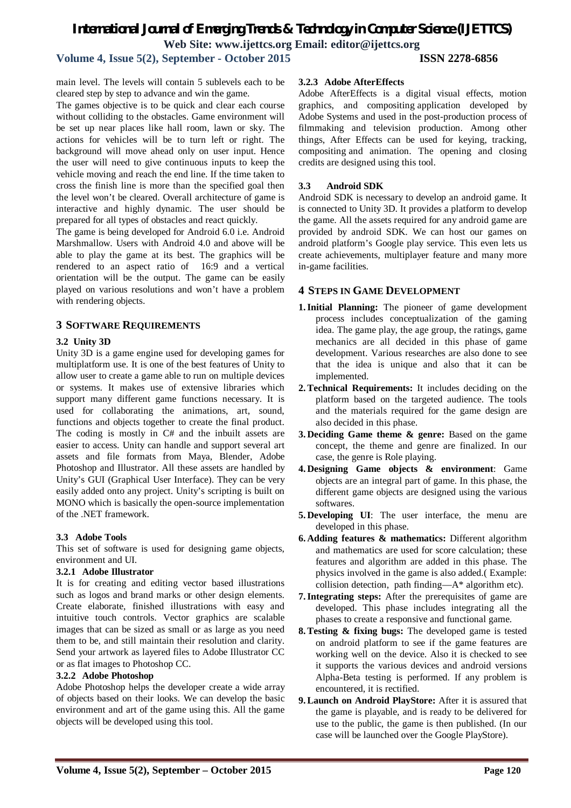# *International Journal of Emerging Trends & Technology in Computer Science (IJETTCS)* **Web Site: www.ijettcs.org Email: editor@ijettcs.org Volume 4, Issue 5(2), September - October 2015 ISSN 2278-6856**

main level. The levels will contain 5 sublevels each to be cleared step by step to advance and win the game.

The games objective is to be quick and clear each course without colliding to the obstacles. Game environment will be set up near places like hall room, lawn or sky. The actions for vehicles will be to turn left or right. The background will move ahead only on user input. Hence the user will need to give continuous inputs to keep the vehicle moving and reach the end line. If the time taken to cross the finish line is more than the specified goal then the level won't be cleared. Overall architecture of game is interactive and highly dynamic. The user should be prepared for all types of obstacles and react quickly.

The game is being developed for Android 6.0 i.e. Android Marshmallow. Users with Android 4.0 and above will be able to play the game at its best. The graphics will be rendered to an aspect ratio of 16:9 and a vertical orientation will be the output. The game can be easily played on various resolutions and won't have a problem with rendering objects.

# **3 SOFTWARE REQUIREMENTS**

# **3.2 Unity 3D**

Unity 3D is a game engine used for developing games for multiplatform use. It is one of the best features of Unity to allow user to create a game able to run on multiple devices or systems. It makes use of extensive libraries which support many different game functions necessary. It is used for collaborating the animations, art, sound, functions and objects together to create the final product. The coding is mostly in C# and the inbuilt assets are easier to access. Unity can handle and support several art assets and file formats from Maya, Blender, Adobe Photoshop and Illustrator. All these assets are handled by Unity's GUI (Graphical User Interface). They can be very easily added onto any project. Unity's scripting is built on MONO which is basically the open-source implementation of the .NET framework.

# **3.3 Adobe Tools**

This set of software is used for designing game objects, environment and UI.

## **3.2.1 Adobe Illustrator**

It is for creating and editing vector based illustrations such as logos and brand marks or other design elements. Create elaborate, finished illustrations with easy and intuitive touch controls. Vector graphics are scalable images that can be sized as small or as large as you need them to be, and still maintain their resolution and clarity. Send your artwork as layered files to Adobe Illustrator CC or as flat images to Photoshop CC.

## **3.2.2 Adobe Photoshop**

Adobe Photoshop helps the developer create a wide array of objects based on their looks. We can develop the basic environment and art of the game using this. All the game objects will be developed using this tool.

# **3.2.3 Adobe AfterEffects**

Adobe AfterEffects is a digital visual effects, motion graphics, and compositing application developed by Adobe Systems and used in the post-production process of filmmaking and television production. Among other things, After Effects can be used for keying, tracking, compositing and animation. The opening and closing credits are designed using this tool.

# **3.3 Android SDK**

Android SDK is necessary to develop an android game. It is connected to Unity 3D. It provides a platform to develop the game. All the assets required for any android game are provided by android SDK. We can host our games on android platform's Google play service. This even lets us create achievements, multiplayer feature and many more in-game facilities.

# **4 STEPS IN GAME DEVELOPMENT**

- **1.Initial Planning:** The pioneer of game development process includes conceptualization of the gaming idea. The game play, the age group, the ratings, game mechanics are all decided in this phase of game development. Various researches are also done to see that the idea is unique and also that it can be implemented.
- **2.Technical Requirements:** It includes deciding on the platform based on the targeted audience. The tools and the materials required for the game design are also decided in this phase.
- **3. Deciding Game theme & genre:** Based on the game concept, the theme and genre are finalized. In our case, the genre is Role playing.
- **4. Designing Game objects & environment**: Game objects are an integral part of game. In this phase, the different game objects are designed using the various softwares.
- **5. Developing UI**: The user interface, the menu are developed in this phase.
- **6. Adding features & mathematics:** Different algorithm and mathematics are used for score calculation; these features and algorithm are added in this phase. The physics involved in the game is also added.( Example: collision detection, path finding—A\* algorithm etc).
- **7.Integrating steps:** After the prerequisites of game are developed. This phase includes integrating all the phases to create a responsive and functional game.
- **8.Testing & fixing bugs:** The developed game is tested on android platform to see if the game features are working well on the device. Also it is checked to see it supports the various devices and android versions Alpha-Beta testing is performed. If any problem is encountered, it is rectified.
- **9.Launch on Android PlayStore:** After it is assured that the game is playable, and is ready to be delivered for use to the public, the game is then published. (In our case will be launched over the Google PlayStore).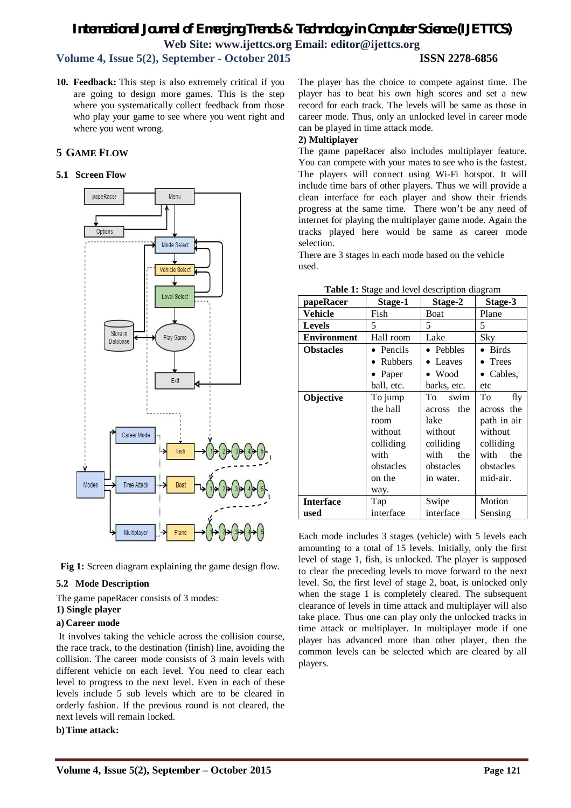# *International Journal of Emerging Trends & Technology in Computer Science (IJETTCS)* **Web Site: www.ijettcs.org Email: editor@ijettcs.org**

# **Volume 4, Issue 5(2), September - October 2015 ISSN 2278-6856**

**10. Feedback:** This step is also extremely critical if you are going to design more games. This is the step where you systematically collect feedback from those who play your game to see where you went right and where you went wrong.

# **5 GAME FLOW**

# **5.1 Screen Flow**



**Fig 1:** Screen diagram explaining the game design flow.

## **5.2 Mode Description**

The game papeRacer consists of 3 modes:

# **1) Single player**

# **a) Career mode**

It involves taking the vehicle across the collision course, the race track, to the destination (finish) line, avoiding the collision. The career mode consists of 3 main levels with different vehicle on each level. You need to clear each level to progress to the next level. Even in each of these levels include 5 sub levels which are to be cleared in orderly fashion. If the previous round is not cleared, the next levels will remain locked.

**b)Time attack:**

The player has the choice to compete against time. The player has to beat his own high scores and set a new record for each track. The levels will be same as those in career mode. Thus, only an unlocked level in career mode can be played in time attack mode.

## **2) Multiplayer**

The game papeRacer also includes multiplayer feature. You can compete with your mates to see who is the fastest. The players will connect using Wi-Fi hotspot. It will include time bars of other players. Thus we will provide a clean interface for each player and show their friends progress at the same time. There won't be any need of internet for playing the multiplayer game mode. Again the tracks played here would be same as career mode selection.

There are 3 stages in each mode based on the vehicle used.

| papeRacer          | Stage-1           | Stage-2        | Stage-3           |
|--------------------|-------------------|----------------|-------------------|
| Vehicle            | Fish              | Boat           | Plane             |
| <b>Levels</b>      | 5                 | 5              | 5                 |
| <b>Environment</b> | Hall room         | Lake           | Sky               |
| <b>Obstacles</b>   | $\bullet$ Pencils | • Pebbles      | $\bullet$ Birds   |
|                    | <b>Rubbers</b>    | • Leaves       | • Trees           |
|                    | Paper             | $\bullet$ Wood | $\bullet$ Cables, |
|                    | ball, etc.        | barks, etc.    | etc               |
| Objective          | To jump           | Tο<br>swim     | To<br>fly         |
|                    | the hall          | the<br>across  | across the        |
|                    | room              | lake           | path in air       |
|                    | without           | without        | without           |
|                    | colliding         | colliding      | colliding         |
|                    | with              | with<br>the    | the<br>with       |
|                    | obstacles         | obstacles      | obstacles         |
|                    | on the            | in water.      | mid-air.          |
|                    | way.              |                |                   |
| <b>Interface</b>   | Tap               | Swipe          | Motion            |
| used               | interface         | interface      | Sensing           |

| Table 1: Stage and level description diagram |
|----------------------------------------------|
|----------------------------------------------|

Each mode includes 3 stages (vehicle) with 5 levels each amounting to a total of 15 levels. Initially, only the first level of stage 1, fish, is unlocked. The player is supposed to clear the preceding levels to move forward to the next level. So, the first level of stage 2, boat, is unlocked only when the stage 1 is completely cleared. The subsequent clearance of levels in time attack and multiplayer will also take place. Thus one can play only the unlocked tracks in time attack or multiplayer. In multiplayer mode if one player has advanced more than other player, then the common levels can be selected which are cleared by all players.